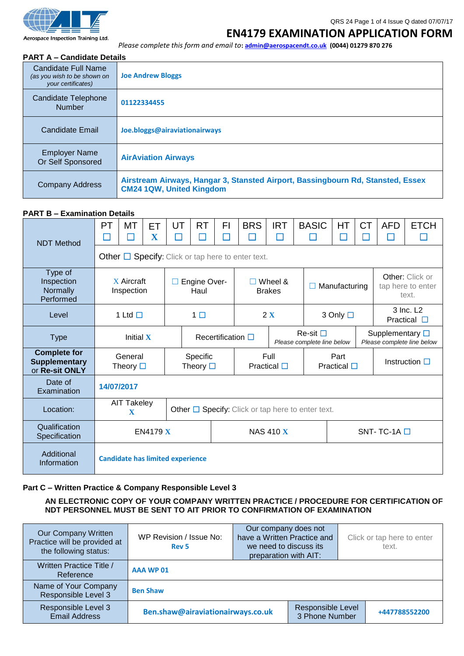

#### Aerospace Inspection Training Ltd.

#### QRS 24 Page 1 of 4 Issue Q dated 07/07/17

### **EN4179 EXAMINATION APPLICATION FORM**

*Please complete this form and email to***[: admin@aerospacendt.co.uk](mailto:admin@aerospacendt.co.uk) (0044) 01279 870 276**

### **PART A – Candidate Details**

| Candidate Full Name<br>(as you wish to be shown on<br>your certificates) | <b>Joe Andrew Bloggs</b>                                                                                           |
|--------------------------------------------------------------------------|--------------------------------------------------------------------------------------------------------------------|
| Candidate Telephone<br><b>Number</b>                                     | 01122334455                                                                                                        |
| Candidate Email                                                          | Joe.bloggs@airaviationairways                                                                                      |
| <b>Employer Name</b><br>Or Self Sponsored                                | <b>AirAviation Airways</b>                                                                                         |
| <b>Company Address</b>                                                   | Airstream Airways, Hangar 3, Stansted Airport, Bassingbourn Rd, Stansted, Essex<br><b>CM24 1QW, United Kingdom</b> |

### **PART B – Examination Details**

| - ~ ~ - - - - - - - - - - - -                                 |                                                             |                                                                                                  |         |         |                                                  |         |                             |                             |              |                                                       |                       |                               |             |
|---------------------------------------------------------------|-------------------------------------------------------------|--------------------------------------------------------------------------------------------------|---------|---------|--------------------------------------------------|---------|-----------------------------|-----------------------------|--------------|-------------------------------------------------------|-----------------------|-------------------------------|-------------|
| <b>NDT Method</b>                                             | PT                                                          | MT                                                                                               | ET<br>X | UT<br>П | <b>RT</b><br>$\sim$                              | FI<br>П | <b>BRS</b>                  | <b>IRT</b><br>П             | <b>BASIC</b> | HT                                                    | <b>CT</b>             | <b>AFD</b>                    | <b>ETCH</b> |
|                                                               |                                                             | Other $\Box$ Specify: Click or tap here to enter text.                                           |         |         |                                                  |         |                             |                             |              |                                                       |                       |                               |             |
| Type of<br>Inspection<br>Normally<br>Performed                | X Aircraft<br>Inspection                                    |                                                                                                  |         |         | Engine Over-<br>Wheel &<br>Haul<br><b>Brakes</b> |         |                             | Manufacturing               |              | Other: Click or<br>tap here to enter<br>text.         |                       |                               |             |
| Level                                                         |                                                             | 1 Ltd $\Box$                                                                                     |         |         | $1\Box$                                          |         |                             | 2X                          |              | 3 Only □                                              |                       | 3 Inc. L2<br>Practical $\Box$ |             |
| <b>Type</b>                                                   | Initial X                                                   |                                                                                                  |         |         | Recertification $\square$                        |         | $Re-sit$                    | Please complete line below  |              | Supplementary $\square$<br>Please complete line below |                       |                               |             |
| <b>Complete for</b><br><b>Supplementary</b><br>or Re-sit ONLY | General<br>Specific<br>Theory $\square$<br>Theory $\square$ |                                                                                                  |         |         |                                                  |         | Full<br>Practical $\square$ | Part<br>Practical $\square$ |              |                                                       | Instruction $\square$ |                               |             |
| Date of<br>Examination                                        |                                                             | 14/07/2017                                                                                       |         |         |                                                  |         |                             |                             |              |                                                       |                       |                               |             |
| Location:                                                     |                                                             | AIT Takeley<br>Other $\Box$ Specify: Click or tap here to enter text.<br>$\overline{\mathbf{X}}$ |         |         |                                                  |         |                             |                             |              |                                                       |                       |                               |             |
| Qualification<br>Specification                                | <b>EN4179 X</b><br><b>NAS 410 X</b><br>SNT-TC-1A $\square$  |                                                                                                  |         |         |                                                  |         |                             |                             |              |                                                       |                       |                               |             |
| Additional<br>Information                                     |                                                             | <b>Candidate has limited experience</b>                                                          |         |         |                                                  |         |                             |                             |              |                                                       |                       |                               |             |

### **Part C – Written Practice & Company Responsible Level 3**

**AN ELECTRONIC COPY OF YOUR COMPANY WRITTEN PRACTICE / PROCEDURE FOR CERTIFICATION OF NDT PERSONNEL MUST BE SENT TO AIT PRIOR TO CONFIRMATION OF EXAMINATION**

| Our Company Written<br>Practice will be provided at<br>the following status: | Our company does not<br>have a Written Practice and<br>WP Revision / Issue No:<br>we need to discuss its<br>text.<br>Rev <sub>5</sub><br>preparation with AIT: |  |                                     |  | Click or tap here to enter |
|------------------------------------------------------------------------------|----------------------------------------------------------------------------------------------------------------------------------------------------------------|--|-------------------------------------|--|----------------------------|
| Written Practice Title /<br>Reference                                        | <b>AAA WP 01</b>                                                                                                                                               |  |                                     |  |                            |
| Name of Your Company<br>Responsible Level 3                                  | <b>Ben Shaw</b>                                                                                                                                                |  |                                     |  |                            |
| Responsible Level 3<br><b>Email Address</b>                                  | Ben.shaw@airaviationairways.co.uk                                                                                                                              |  | Responsible Level<br>3 Phone Number |  | +447788552200              |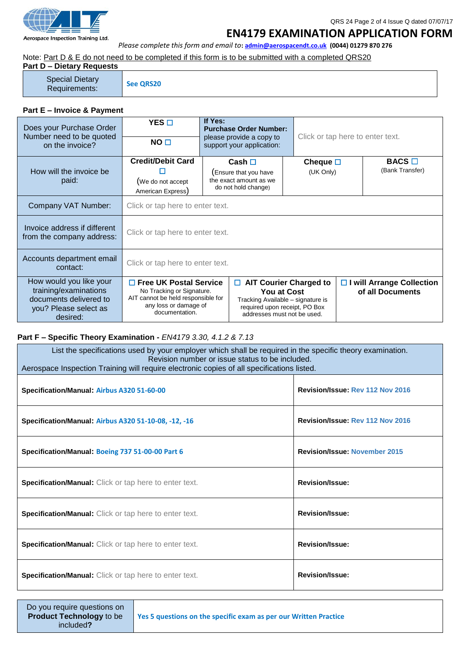

## QRS 24 Page 2 of 4 Issue Q dated 07/07/17 **EN4179 EXAMINATION APPLICATION FORM**

*Please complete this form and email to***[: admin@aerospacendt.co.uk](mailto:admin@aerospacendt.co.uk) (0044) 01279 870 276**

Note: Part D & E do not need to be completed if this form is to be submitted with a completed QRS20

| <b>Part D - Dietary Requests</b>        |                  |
|-----------------------------------------|------------------|
| <b>Special Dietary</b><br>Requirements: | <b>See ORS20</b> |

# **Part E – Invoice & Payment**

| Does your Purchase Order<br>Number need to be quoted<br>on the invoice?                                         | $YES$ $\square$<br>NO <sub>1</sub>                                 | If Yes:                                                                                                                                                                                                                                                                          | <b>Purchase Order Number:</b><br>please provide a copy to<br>support your application: | Click or tap here to enter text. |  |                                                 |  |
|-----------------------------------------------------------------------------------------------------------------|--------------------------------------------------------------------|----------------------------------------------------------------------------------------------------------------------------------------------------------------------------------------------------------------------------------------------------------------------------------|----------------------------------------------------------------------------------------|----------------------------------|--|-------------------------------------------------|--|
| How will the invoice be<br>paid:                                                                                | <b>Credit/Debit Card</b><br>(We do not accept<br>American Express) | Cash $\Box$<br>Ensure that you have<br>the exact amount as we<br>do not hold change)                                                                                                                                                                                             |                                                                                        | Cheque $\square$<br>(UK Only)    |  | BACS<br>(Bank Transfer)                         |  |
| Company VAT Number:                                                                                             |                                                                    | Click or tap here to enter text.                                                                                                                                                                                                                                                 |                                                                                        |                                  |  |                                                 |  |
| Invoice address if different<br>from the company address:                                                       | Click or tap here to enter text.                                   |                                                                                                                                                                                                                                                                                  |                                                                                        |                                  |  |                                                 |  |
| Accounts department email<br>contact:                                                                           | Click or tap here to enter text.                                   |                                                                                                                                                                                                                                                                                  |                                                                                        |                                  |  |                                                 |  |
| How would you like your<br>training/examinations<br>documents delivered to<br>you? Please select as<br>desired: | documentation.                                                     | □ AIT Courier Charged to<br>$\Box$ Free UK Postal Service<br>No Tracking or Signature.<br><b>You at Cost</b><br>AIT cannot be held responsible for<br>Tracking Available - signature is<br>any loss or damage of<br>required upon receipt, PO Box<br>addresses must not be used. |                                                                                        |                                  |  | □ I will Arrange Collection<br>of all Documents |  |

### **Part F – Specific Theory Examination -** *EN4179 3.30, 4.1.2 & 7.13*

| List the specifications used by your employer which shall be required in the specific theory examination.<br>Revision number or issue status to be included.<br>Aerospace Inspection Training will require electronic copies of all specifications listed. |                                      |  |  |  |  |
|------------------------------------------------------------------------------------------------------------------------------------------------------------------------------------------------------------------------------------------------------------|--------------------------------------|--|--|--|--|
| Specification/Manual: Airbus A320 51-60-00                                                                                                                                                                                                                 | Revision/Issue: Rev 112 Nov 2016     |  |  |  |  |
| Specification/Manual: Airbus A320 51-10-08, -12, -16                                                                                                                                                                                                       | Revision/Issue: Rev 112 Nov 2016     |  |  |  |  |
| Specification/Manual: Boeing 737 51-00-00 Part 6                                                                                                                                                                                                           | <b>Revision/Issue: November 2015</b> |  |  |  |  |
| <b>Specification/Manual:</b> Click or tap here to enter text.                                                                                                                                                                                              | <b>Revision/Issue:</b>               |  |  |  |  |
| <b>Specification/Manual:</b> Click or tap here to enter text.                                                                                                                                                                                              | <b>Revision/Issue:</b>               |  |  |  |  |
| Specification/Manual: Click or tap here to enter text.                                                                                                                                                                                                     | <b>Revision/Issue:</b>               |  |  |  |  |
| Specification/Manual: Click or tap here to enter text.                                                                                                                                                                                                     | <b>Revision/Issue:</b>               |  |  |  |  |

**Yes 5 questions on the specific exam as per our Written Practice**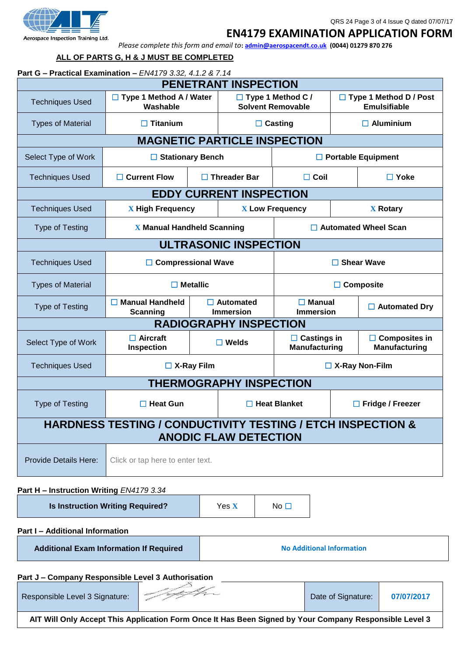

## **EN4179 EXAMINATION APPLICATION FORM**

*Please complete this form and email to***[: admin@aerospacendt.co.uk](mailto:admin@aerospacendt.co.uk) (0044) 01279 870 276**

## **ALL OF PARTS G, H & J MUST BE COMPLETED**

| Part G - Practical Examination - EN4179 3.32, 4.1.2 & 7.14 |                                                                        |                                                               |                                      |                                                      |  |                                                      |  |
|------------------------------------------------------------|------------------------------------------------------------------------|---------------------------------------------------------------|--------------------------------------|------------------------------------------------------|--|------------------------------------------------------|--|
|                                                            |                                                                        |                                                               | <b>PENETRANT INSPECTION</b>          |                                                      |  |                                                      |  |
| <b>Techniques Used</b>                                     | $\Box$ Type 1 Method A / Water<br>Washable                             |                                                               |                                      | $\Box$ Type 1 Method C /<br><b>Solvent Removable</b> |  | $\Box$ Type 1 Method D / Post<br><b>Emulsifiable</b> |  |
| <b>Types of Material</b>                                   | $\Box$ Titanium                                                        |                                                               | $\Box$ Casting                       | $\Box$ Aluminium                                     |  |                                                      |  |
|                                                            |                                                                        |                                                               | <b>MAGNETIC PARTICLE INSPECTION</b>  |                                                      |  |                                                      |  |
| Select Type of Work                                        | $\Box$ Stationary Bench                                                |                                                               |                                      |                                                      |  | $\Box$ Portable Equipment                            |  |
| <b>Techniques Used</b>                                     | $\Box$ Current Flow                                                    |                                                               | $\Box$ Threader Bar                  | $\Box$ Coil                                          |  | $\Box$ Yoke                                          |  |
|                                                            |                                                                        |                                                               | <b>EDDY CURRENT INSPECTION</b>       |                                                      |  |                                                      |  |
| <b>Techniques Used</b>                                     | <b>X</b> High Frequency                                                |                                                               |                                      | <b>X Low Frequency</b>                               |  | <b>X</b> Rotary                                      |  |
| <b>Type of Testing</b>                                     | <b>X Manual Handheld Scanning</b>                                      |                                                               |                                      | □ Automated Wheel Scan                               |  |                                                      |  |
| <b>ULTRASONIC INSPECTION</b>                               |                                                                        |                                                               |                                      |                                                      |  |                                                      |  |
| <b>Techniques Used</b>                                     | <b>Compressional Wave</b><br>$\Box$ Shear Wave                         |                                                               |                                      |                                                      |  |                                                      |  |
| <b>Types of Material</b>                                   |                                                                        | $\Box$ Metallic                                               |                                      |                                                      |  | $\Box$ Composite                                     |  |
| <b>Type of Testing</b>                                     | $\Box$ Manual Handheld<br><b>Scanning</b>                              |                                                               | $\Box$ Automated<br><b>Immersion</b> | $\Box$ Manual<br><b>Immersion</b>                    |  | $\Box$ Automated Dry                                 |  |
|                                                            |                                                                        |                                                               | <b>RADIOGRAPHY INSPECTION</b>        |                                                      |  |                                                      |  |
| Select Type of Work                                        | $\Box$ Aircraft<br>Inspection                                          | $\Box$ Castings in<br>$\square$ Welds<br><b>Manufacturing</b> |                                      |                                                      |  | $\Box$ Composites in<br><b>Manufacturing</b>         |  |
| <b>Techniques Used</b>                                     | $\Box$ X-Ray Film<br>$\Box$ X-Ray Non-Film                             |                                                               |                                      |                                                      |  |                                                      |  |
| <b>THERMOGRAPHY INSPECTION</b>                             |                                                                        |                                                               |                                      |                                                      |  |                                                      |  |
| <b>Type of Testing</b>                                     | $\Box$ Heat Gun                                                        |                                                               |                                      | $\Box$ Heat Blanket                                  |  | $\Box$ Fridge / Freezer                              |  |
|                                                            | <b>HARDNESS TESTING / CONDUCTIVITY TESTING / ETCH INSPECTION &amp;</b> |                                                               |                                      |                                                      |  |                                                      |  |

**ANODIC FLAW DETECTION**

Provide Details Here: | Click or tap here to enter text.

## **Part H – Instruction Writing** *EN4179 3.34*

**Is Instruction Writing Required?** Yes **X** No □

**Part I – Additional Information**

**Additional Exam Information If Required No Additional Information**

### **Part J – Company Responsible Level 3 Authorisation**

| Responsible Level 3 Signature: | P | Date of Signature: | 07/07/2017 |
|--------------------------------|---|--------------------|------------|
| ------------<br>---            | . |                    | .          |

**AIT Will Only Accept This Application Form Once It Has Been Signed by Your Company Responsible Level 3**